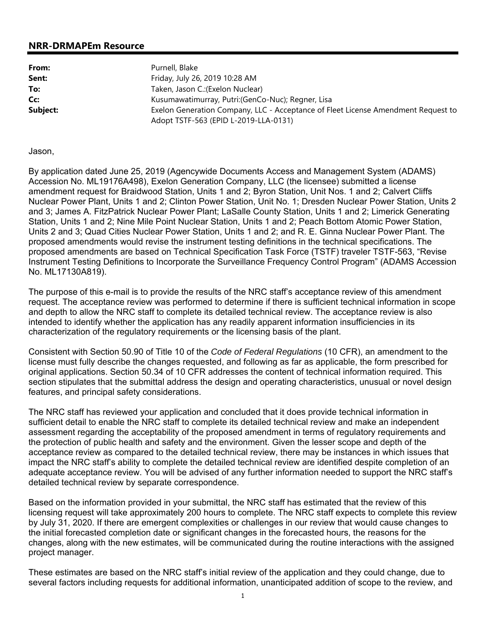## **NRR-DRMAPEm Resource**

From: Purnell, Blake **Sent:** Friday, July 26, 2019 10:28 AM **To:** Taken, Jason C.:(Exelon Nuclear) **Cc:** Kusumawatimurray, Putri:(GenCo-Nuc); Regner, Lisa **Subject:** Exelon Generation Company, LLC - Acceptance of Fleet License Amendment Request to Adopt TSTF-563 (EPID L-2019-LLA-0131)

## Jason,

By application dated June 25, 2019 (Agencywide Documents Access and Management System (ADAMS) Accession No. ML19176A498), Exelon Generation Company, LLC (the licensee) submitted a license amendment request for Braidwood Station, Units 1 and 2; Byron Station, Unit Nos. 1 and 2; Calvert Cliffs Nuclear Power Plant, Units 1 and 2; Clinton Power Station, Unit No. 1; Dresden Nuclear Power Station, Units 2 and 3; James A. FitzPatrick Nuclear Power Plant; LaSalle County Station, Units 1 and 2; Limerick Generating Station, Units 1 and 2; Nine Mile Point Nuclear Station, Units 1 and 2; Peach Bottom Atomic Power Station, Units 2 and 3; Quad Cities Nuclear Power Station, Units 1 and 2; and R. E. Ginna Nuclear Power Plant. The proposed amendments would revise the instrument testing definitions in the technical specifications. The proposed amendments are based on Technical Specification Task Force (TSTF) traveler TSTF-563, "Revise Instrument Testing Definitions to Incorporate the Surveillance Frequency Control Program" (ADAMS Accession No. ML17130A819).

The purpose of this e-mail is to provide the results of the NRC staff's acceptance review of this amendment request. The acceptance review was performed to determine if there is sufficient technical information in scope and depth to allow the NRC staff to complete its detailed technical review. The acceptance review is also intended to identify whether the application has any readily apparent information insufficiencies in its characterization of the regulatory requirements or the licensing basis of the plant.

Consistent with Section 50.90 of Title 10 of the *Code of Federal Regulations* (10 CFR), an amendment to the license must fully describe the changes requested, and following as far as applicable, the form prescribed for original applications. Section 50.34 of 10 CFR addresses the content of technical information required. This section stipulates that the submittal address the design and operating characteristics, unusual or novel design features, and principal safety considerations.

The NRC staff has reviewed your application and concluded that it does provide technical information in sufficient detail to enable the NRC staff to complete its detailed technical review and make an independent assessment regarding the acceptability of the proposed amendment in terms of regulatory requirements and the protection of public health and safety and the environment. Given the lesser scope and depth of the acceptance review as compared to the detailed technical review, there may be instances in which issues that impact the NRC staff's ability to complete the detailed technical review are identified despite completion of an adequate acceptance review. You will be advised of any further information needed to support the NRC staff's detailed technical review by separate correspondence.

Based on the information provided in your submittal, the NRC staff has estimated that the review of this licensing request will take approximately 200 hours to complete. The NRC staff expects to complete this review by July 31, 2020. If there are emergent complexities or challenges in our review that would cause changes to the initial forecasted completion date or significant changes in the forecasted hours, the reasons for the changes, along with the new estimates, will be communicated during the routine interactions with the assigned project manager.

These estimates are based on the NRC staff's initial review of the application and they could change, due to several factors including requests for additional information, unanticipated addition of scope to the review, and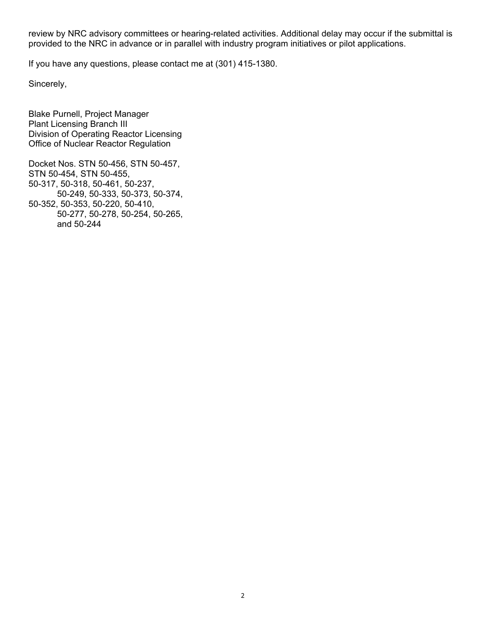review by NRC advisory committees or hearing-related activities. Additional delay may occur if the submittal is provided to the NRC in advance or in parallel with industry program initiatives or pilot applications.

If you have any questions, please contact me at (301) 415-1380.

Sincerely,

Blake Purnell, Project Manager Plant Licensing Branch III Division of Operating Reactor Licensing Office of Nuclear Reactor Regulation

Docket Nos. STN 50-456, STN 50-457, STN 50-454, STN 50-455, 50-317, 50-318, 50-461, 50-237, 50-249, 50-333, 50-373, 50-374, 50-352, 50-353, 50-220, 50-410, 50-277, 50-278, 50-254, 50-265, and 50-244